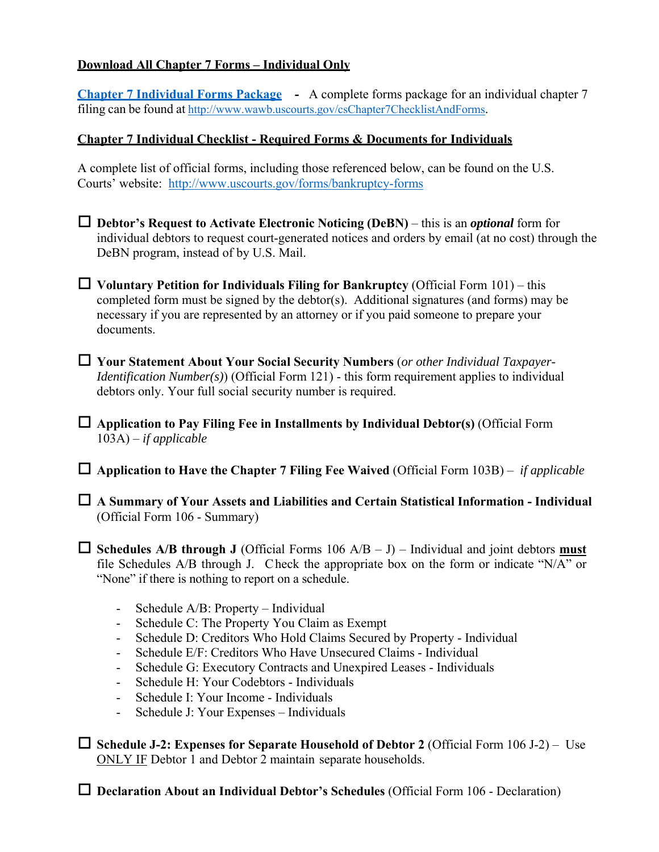## **Download All Chapter 7 Forms – Individual Only**

**Chapter 7 Individual Forms Package -** A complete forms package for an individual chapter 7 filing can be found at http://www.wawb.uscourts.gov/csChapter7ChecklistAndForms.

## **Chapter 7 Individual Checklist - Required Forms & Documents for Individuals**

A complete list of official forms, including those referenced below, can be found on the U.S. Courts' website: http://www.uscourts.gov/forms/bankruptcy-forms

- **Debtor's Request to Activate Electronic Noticing (DeBN)**  this is an *optional* form for individual debtors to request court-generated notices and orders by email (at no cost) through the DeBN program, instead of by U.S. Mail.
- $\Box$  Voluntary Petition for Individuals Filing for Bankruptcy (Official Form 101) this completed form must be signed by the debtor(s). Additional signatures (and forms) may be necessary if you are represented by an attorney or if you paid someone to prepare your documents.
- **Your Statement About Your Social Security Numbers** (*or other Individual Taxpayer-Identification Number(s)*) (Official Form 121) - this form requirement applies to individual debtors only. Your full social security number is required.

 **Application to Pay Filing Fee in Installments by Individual Debtor(s)** (Official Form 103A) – *if applicable*

**Application to Have the Chapter 7 Filing Fee Waived** (Official Form 103B) – *if applicable*

 **A Summary of Your Assets and Liabilities and Certain Statistical Information - Individual** (Official Form 106 - Summary)

 $\Box$  **Schedules A/B through J** (Official Forms 106 A/B – J) – Individual and joint debtors **must** file Schedules A/B through J. Check the appropriate box on the form or indicate "N/A" or "None" if there is nothing to report on a schedule.

- Schedule A/B: Property Individual
- Schedule C: The Property You Claim as Exempt
- Schedule D: Creditors Who Hold Claims Secured by Property Individual
- Schedule E/F: Creditors Who Have Unsecured Claims Individual
- Schedule G: Executory Contracts and Unexpired Leases Individuals
- Schedule H: Your Codebtors Individuals
- Schedule I: Your Income Individuals
- Schedule J: Your Expenses Individuals

 **Schedule J-2: Expenses for Separate Household of Debtor 2** (Official Form 106 J-2) – Use ONLY IF Debtor 1 and Debtor 2 maintain separate households.

□ **Declaration About an Individual Debtor's Schedules** (Official Form 106 - Declaration)